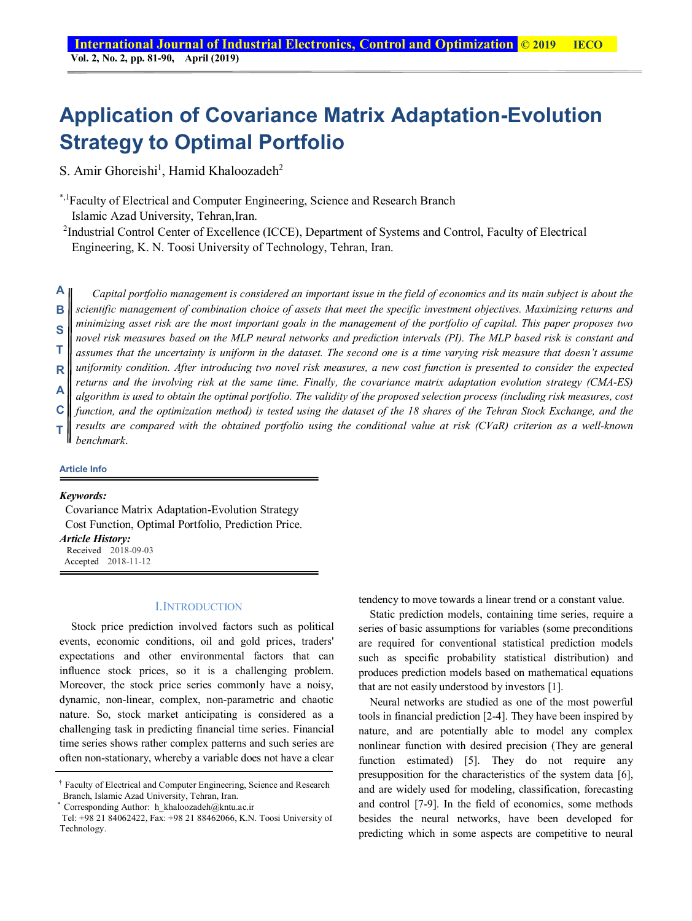# **Application of Covariance Matrix Adaptation-Evolution Strategy to Optimal Portfolio**

S. Amir Ghoreishi<sup>1</sup>, Hamid Khaloozadeh<sup>2</sup>

\*,1Faculty of Electrical and Computer Engineering, Science and Research Branch Islamic Azad University, Tehran,Iran.

<sup>2</sup>Industrial Control Center of Excellence (ICCE), Department of Systems and Control, Faculty of Electrical Engineering, K. N. Toosi University of Technology, Tehran, Iran.

*Capital portfolio management is considered an important issue in the field of economics and its main subject is about the scientific management of combination choice of assets that meet the specific investment objectives. Maximizing returns and minimizing asset risk are the most important goals in the management of the portfolio of capital. This paper proposes two novel risk measures based on the MLP neural networks and prediction intervals (PI). The MLP based risk is constant and assumes that the uncertainty is uniform in the dataset. The second one is a time varying risk measure that doesn't assume uniformity condition. After introducing two novel risk measures, a new cost function is presented to consider the expected returns and the involving risk at the same time. Finally, the covariance matrix adaptation evolution strategy (CMA-ES) algorithm is used to obtain the optimal portfolio. The validity of the proposed selection process (including risk measures, cost function, and the optimization method) is tested using the dataset of the 18 shares of the Tehran Stock Exchange, and the results are compared with the obtained portfolio using the conditional value at risk (CVaR) criterion as a well-known benchmark*. **A B S T R A C T**

#### **Article Info**

### *Keywords:*

 Covariance Matrix Adaptation-Evolution Strategy Cost Function, Optimal Portfolio, Prediction Price.

### *Article History:*

Received 2018-09-03 Accepted 2018-11-12

#### I.INTRODUCTION

Stock price prediction involved factors such as political events, economic conditions, oil and gold prices, traders' expectations and other environmental factors that can influence stock prices, so it is a challenging problem. Moreover, the stock price series commonly have a noisy, dynamic, non-linear, complex, non-parametric and chaotic nature. So, stock market anticipating is considered as a challenging task in predicting financial time series. Financial time series shows rather complex patterns and such series are often non-stationary, whereby a variable does not have a clear

tendency to move towards a linear trend or a constant value.

Static prediction models, containing time series, require a series of basic assumptions for variables (some preconditions are required for conventional statistical prediction models such as specific probability statistical distribution) and produces prediction models based on mathematical equations that are not easily understood by investors [1].

Neural networks are studied as one of the most powerful tools in financial prediction [2-4]. They have been inspired by nature, and are potentially able to model any complex nonlinear function with desired precision (They are general function estimated) [5]. They do not require any presupposition for the characteristics of the system data [6], and are widely used for modeling, classification, forecasting and control [7-9]. In the field of economics, some methods besides the neural networks, have been developed for predicting which in some aspects are competitive to neural

<sup>†</sup> Faculty of Electrical and Computer Engineering, Science and Research Branch, Islamic Azad University, Tehran, Iran.

<sup>\*</sup> Corresponding Author: h\_khaloozadeh@kntu.ac.ir

Tel: +98 21 84062422, Fax: +98 21 88462066, K.N. Toosi University of Technology.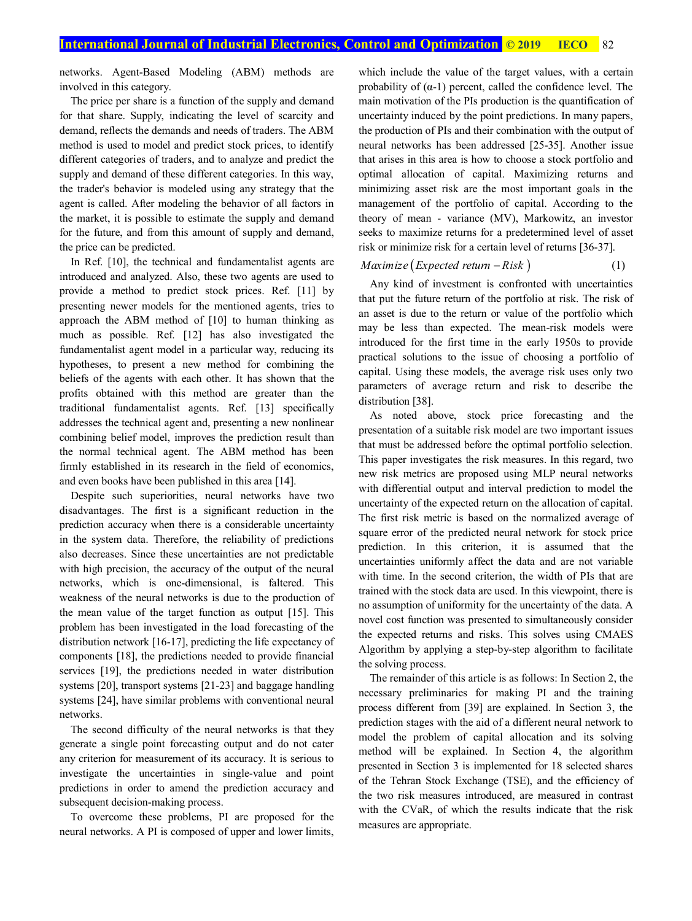networks. Agent-Based Modeling (ABM) methods are involved in this category.

The price per share is a function of the supply and demand for that share. Supply, indicating the level of scarcity and demand, reflects the demands and needs of traders. The ABM method is used to model and predict stock prices, to identify different categories of traders, and to analyze and predict the supply and demand of these different categories. In this way, the trader's behavior is modeled using any strategy that the agent is called. After modeling the behavior of all factors in the market, it is possible to estimate the supply and demand for the future, and from this amount of supply and demand, the price can be predicted.

In Ref. [10], the technical and fundamentalist agents are introduced and analyzed. Also, these two agents are used to provide a method to predict stock prices. Ref. [11] by presenting newer models for the mentioned agents, tries to approach the ABM method of [10] to human thinking as much as possible. Ref. [12] has also investigated the fundamentalist agent model in a particular way, reducing its hypotheses, to present a new method for combining the beliefs of the agents with each other. It has shown that the profits obtained with this method are greater than the traditional fundamentalist agents. Ref. [13] specifically addresses the technical agent and, presenting a new nonlinear combining belief model, improves the prediction result than the normal technical agent. The ABM method has been firmly established in its research in the field of economics, and even books have been published in this area [14].

Despite such superiorities, neural networks have two disadvantages. The first is a significant reduction in the prediction accuracy when there is a considerable uncertainty in the system data. Therefore, the reliability of predictions also decreases. Since these uncertainties are not predictable with high precision, the accuracy of the output of the neural networks, which is one-dimensional, is faltered. This weakness of the neural networks is due to the production of the mean value of the target function as output [15]. This problem has been investigated in the load forecasting of the distribution network [16-17], predicting the life expectancy of components [18], the predictions needed to provide financial services [19], the predictions needed in water distribution systems [20], transport systems [21-23] and baggage handling systems [24], have similar problems with conventional neural networks.

The second difficulty of the neural networks is that they generate a single point forecasting output and do not cater any criterion for measurement of its accuracy. It is serious to investigate the uncertainties in single-value and point predictions in order to amend the prediction accuracy and subsequent decision-making process.

To overcome these problems, PI are proposed for the neural networks. A PI is composed of upper and lower limits,

which include the value of the target values, with a certain probability of  $(\alpha-1)$  percent, called the confidence level. The main motivation of the PIs production is the quantification of uncertainty induced by the point predictions. In many papers, the production of PIs and their combination with the output of neural networks has been addressed [25-35]. Another issue that arises in this area is how to choose a stock portfolio and optimal allocation of capital. Maximizing returns and minimizing asset risk are the most important goals in the management of the portfolio of capital. According to the theory of mean - variance (MV), Markowitz, an investor seeks to maximize returns for a predetermined level of asset risk or minimize risk for a certain level of returns [36-37].

#### $Maximize (Expected return - Risk)$ (1)

Any kind of investment is confronted with uncertainties that put the future return of the portfolio at risk. The risk of an asset is due to the return or value of the portfolio which may be less than expected. The mean-risk models were introduced for the first time in the early 1950s to provide practical solutions to the issue of choosing a portfolio of capital. Using these models, the average risk uses only two parameters of average return and risk to describe the distribution [38].

As noted above, stock price forecasting and the presentation of a suitable risk model are two important issues that must be addressed before the optimal portfolio selection. This paper investigates the risk measures. In this regard, two new risk metrics are proposed using MLP neural networks with differential output and interval prediction to model the uncertainty of the expected return on the allocation of capital. The first risk metric is based on the normalized average of square error of the predicted neural network for stock price prediction. In this criterion, it is assumed that the uncertainties uniformly affect the data and are not variable with time. In the second criterion, the width of PIs that are trained with the stock data are used. In this viewpoint, there is no assumption of uniformity for the uncertainty of the data. A novel cost function was presented to simultaneously consider the expected returns and risks. This solves using CMAES Algorithm by applying a step-by-step algorithm to facilitate the solving process.

The remainder of this article is as follows: In Section 2, the necessary preliminaries for making PI and the training process different from [39] are explained. In Section 3, the prediction stages with the aid of a different neural network to model the problem of capital allocation and its solving method will be explained. In Section 4, the algorithm presented in Section 3 is implemented for 18 selected shares of the Tehran Stock Exchange (TSE), and the efficiency of the two risk measures introduced, are measured in contrast with the CVaR, of which the results indicate that the risk measures are appropriate.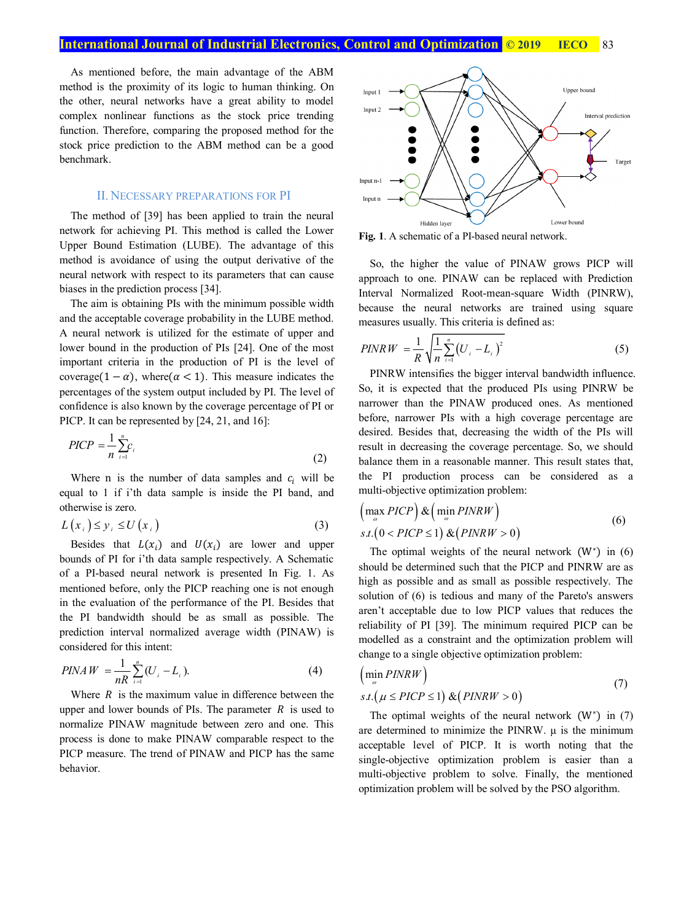As mentioned before, the main advantage of the ABM method is the proximity of its logic to human thinking. On the other, neural networks have a great ability to model complex nonlinear functions as the stock price trending function. Therefore, comparing the proposed method for the stock price prediction to the ABM method can be a good benchmark.

#### II. NECESSARY PREPARATIONS FOR PI

The method of [39] has been applied to train the neural network for achieving PI. This method is called the Lower Upper Bound Estimation (LUBE). The advantage of this method is avoidance of using the output derivative of the neural network with respect to its parameters that can cause biases in the prediction process [34].

The aim is obtaining PIs with the minimum possible width and the acceptable coverage probability in the LUBE method. A neural network is utilized for the estimate of upper and lower bound in the production of PIs [24]. One of the most important criteria in the production of PI is the level of coverage(1 –  $\alpha$ ), where ( $\alpha$  < 1). This measure indicates the percentages of the system output included by PI. The level of confidence is also known by the coverage percentage of PI or PICP. It can be represented by [24, 21, and 16]:

$$
PICP = \frac{1}{n} \sum_{i=1}^{n} c_i
$$
\n<sup>(2)</sup>

Where n is the number of data samples and  $c_i$  will be equal to 1 if i'th data sample is inside the PI band, and otherwise is zero.

$$
L(x_i) \le y_i \le U(x_i) \tag{3}
$$

Besides that  $L(x_i)$  and  $U(x_i)$  are lower and upper bounds of PI for i'th data sample respectively. A Schematic of a PI-based neural network is presented In Fig. 1. As mentioned before, only the PICP reaching one is not enough in the evaluation of the performance of the PI. Besides that the PI bandwidth should be as small as possible. The prediction interval normalized average width (PINAW) is considered for this intent:

$$
PINAW = \frac{1}{nR} \sum_{i=1}^{n} (U_i - L_i).
$$
 (4)

Where  $R$  is the maximum value in difference between the upper and lower bounds of PIs. The parameter  $R$  is used to normalize PINAW magnitude between zero and one. This process is done to make PINAW comparable respect to the PICP measure. The trend of PINAW and PICP has the same behavior.



**Fig. 1**. A schematic of a PI-based neural network.

So, the higher the value of PINAW grows PICP will approach to one. PINAW can be replaced with Prediction Interval Normalized Root-mean-square Width (PINRW), because the neural networks are trained using square measures usually. This criteria is defined as:

$$
PINRW = \frac{1}{R} \sqrt{\frac{1}{n} \sum_{i=1}^{n} (U_i - L_i)^2}
$$
 (5)

PINRW intensifies the bigger interval bandwidth influence. So, it is expected that the produced PIs using PINRW be narrower than the PINAW produced ones. As mentioned before, narrower PIs with a high coverage percentage are desired. Besides that, decreasing the width of the PIs will result in decreasing the coverage percentage. So, we should balance them in a reasonable manner. This result states that, the PI production process can be considered as a multi-objective optimization problem:

$$
\left(\max_{\omega} PICP\right) \& \left(\min_{\omega} PINRW\right) s.t. \left(0 < PICP \le 1\right) \& \left(PINRW > 0\right)
$$
\n(6)

The optimal weights of the neural network  $(W^*)$  in  $(6)$ should be determined such that the PICP and PINRW are as high as possible and as small as possible respectively. The solution of (6) is tedious and many of the Pareto's answers aren't acceptable due to low PICP values that reduces the reliability of PI [39]. The minimum required PICP can be modelled as a constraint and the optimization problem will change to a single objective optimization problem:

$$
\left(\min_{\omega} PINRW\right)
$$
  
s.t.  $(\mu \leq PICP \leq 1) \& (PINRW > 0)$  (7)

The optimal weights of the neural network  $(W^*)$  in  $(7)$ are determined to minimize the PINRW.  $\mu$  is the minimum acceptable level of PICP. It is worth noting that the single-objective optimization problem is easier than a multi-objective problem to solve. Finally, the mentioned optimization problem will be solved by the PSO algorithm.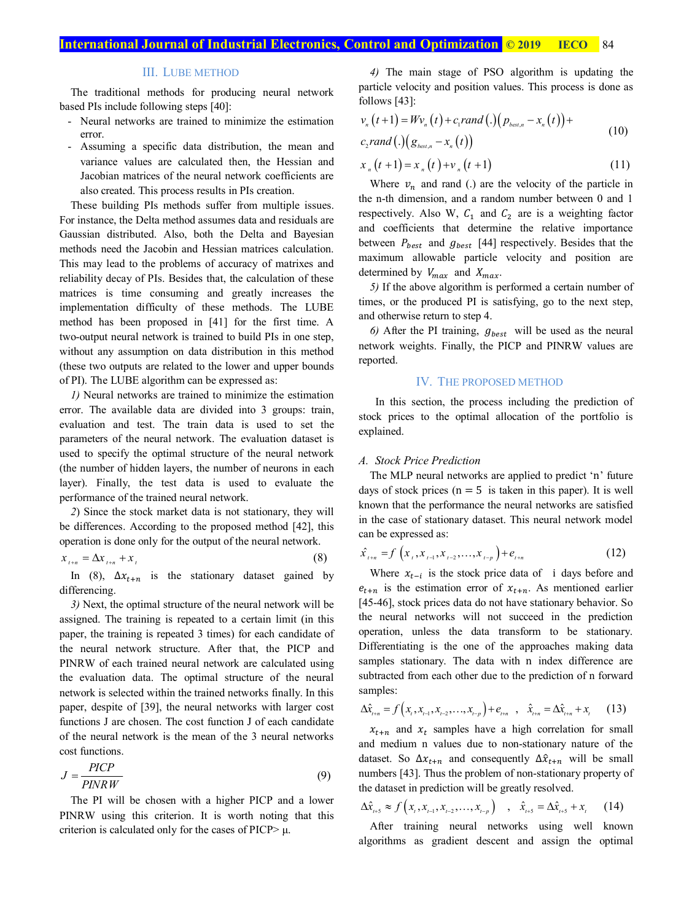# III. LUBE METHOD

The traditional methods for producing neural network based PIs include following steps [40]:

- Neural networks are trained to minimize the estimation error.
- Assuming a specific data distribution, the mean and variance values are calculated then, the Hessian and Jacobian matrices of the neural network coefficients are also created. This process results in PIs creation.

These building PIs methods suffer from multiple issues. For instance, the Delta method assumes data and residuals are Gaussian distributed. Also, both the Delta and Bayesian methods need the Jacobin and Hessian matrices calculation. This may lead to the problems of accuracy of matrixes and reliability decay of PIs. Besides that, the calculation of these matrices is time consuming and greatly increases the implementation difficulty of these methods. The LUBE method has been proposed in [41] for the first time. A two-output neural network is trained to build PIs in one step, without any assumption on data distribution in this method (these two outputs are related to the lower and upper bounds of PI). The LUBE algorithm can be expressed as:

*1)* Neural networks are trained to minimize the estimation error. The available data are divided into 3 groups: train, evaluation and test. The train data is used to set the parameters of the neural network. The evaluation dataset is used to specify the optimal structure of the neural network (the number of hidden layers, the number of neurons in each layer). Finally, the test data is used to evaluate the performance of the trained neural network.

*2*) Since the stock market data is not stationary, they will be differences. According to the proposed method [42], this operation is done only for the output of the neural network.

$$
x_{t+n} = \Delta x_{t+n} + x_t \tag{8}
$$

In (8),  $\Delta x_{t+n}$  is the stationary dataset gained by differencing.

*3)* Next, the optimal structure of the neural network will be assigned. The training is repeated to a certain limit (in this paper, the training is repeated 3 times) for each candidate of the neural network structure. After that, the PICP and PINRW of each trained neural network are calculated using the evaluation data. The optimal structure of the neural network is selected within the trained networks finally. In this paper, despite of [39], the neural networks with larger cost functions J are chosen. The cost function J of each candidate of the neural network is the mean of the 3 neural networks cost functions.

$$
J = \frac{PICP}{PINRW} \tag{9}
$$

The PI will be chosen with a higher PICP and a lower PINRW using this criterion. It is worth noting that this criterion is calculated only for the cases of PICP $> \mu$ .

*4)* The main stage of PSO algorithm is updating the particle velocity and position values. This process is done as follows [43]:

$$
v_n(t+1) = Wv_n(t) + c_1 rand(.)(p_{best,n} - x_n(t)) + c_2 rand(.)(g_{best,n} - x_n(t))
$$
\n(10)

$$
x_n(t+1) = x_n(t) + v_n(t+1)
$$
 (11)

Where  $v_n$  and rand (.) are the velocity of the particle in the n-th dimension, and a random number between 0 and 1 respectively. Also W,  $C_1$  and  $C_2$  are is a weighting factor and coefficients that determine the relative importance between  $P_{best}$  and  $g_{best}$  [44] respectively. Besides that the maximum allowable particle velocity and position are determined by  $V_{max}$  and  $X_{max}$ .

*5)* If the above algorithm is performed a certain number of times, or the produced PI is satisfying, go to the next step, and otherwise return to step 4.

 $6)$  After the PI training,  $g_{best}$  will be used as the neural network weights. Finally, the PICP and PINRW values are reported.

# IV. THE PROPOSED METHOD

 In this section, the process including the prediction of stock prices to the optimal allocation of the portfolio is explained.

#### *A. Stock Price Prediction*

The MLP neural networks are applied to predict 'n' future days of stock prices ( $n = 5$  is taken in this paper). It is well known that the performance the neural networks are satisfied in the case of stationary dataset. This neural network model can be expressed as:

$$
\hat{x}_{t+n} = f\left(x_{t}, x_{t-1}, x_{t-2}, \dots, x_{t-p}\right) + e_{t+n} \tag{12}
$$

Where  $x_{t-i}$  is the stock price data of i days before and  $e_{t+n}$  is the estimation error of  $x_{t+n}$ . As mentioned earlier [45-46], stock prices data do not have stationary behavior. So the neural networks will not succeed in the prediction operation, unless the data transform to be stationary. Differentiating is the one of the approaches making data samples stationary. The data with n index difference are subtracted from each other due to the prediction of n forward samples:

$$
\Delta \hat{x}_{t+n} = f(x_t, x_{t-1}, x_{t-2}, \dots, x_{t-p}) + e_{t+n} \quad , \quad \hat{x}_{t+n} = \Delta \hat{x}_{t+n} + x_t \quad (13)
$$

 $x_{t+n}$  and  $x_t$  samples have a high correlation for small and medium n values due to non-stationary nature of the dataset. So  $\Delta x_{t+n}$  and consequently  $\Delta \hat{x}_{t+n}$  will be small numbers [43]. Thus the problem of non-stationary property of the dataset in prediction will be greatly resolved.

$$
\Delta \hat{x}_{t+5} \approx f\left(x_{t}, x_{t-1}, x_{t-2}, \dots, x_{t-p}\right) \quad , \quad \hat{x}_{t+5} = \Delta \hat{x}_{t+5} + x_{t} \tag{14}
$$

After training neural networks using well known algorithms as gradient descent and assign the optimal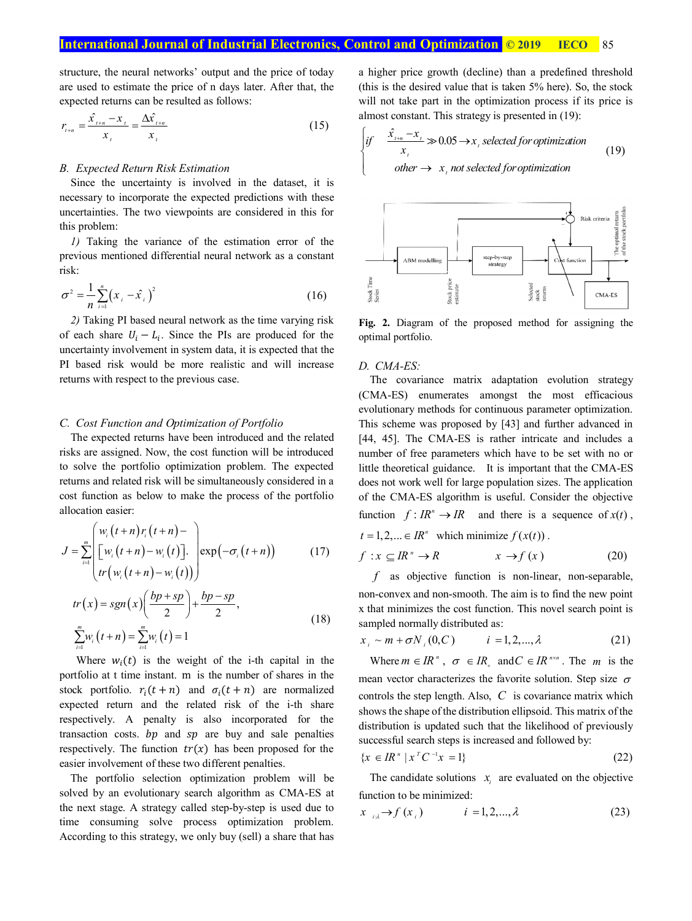structure, the neural networks' output and the price of today are used to estimate the price of n days later. After that, the expected returns can be resulted as follows:

$$
r_{i+n} = \frac{\hat{x}_{i+n} - x_{i}}{x_{i}} = \frac{\Delta \hat{x}_{i+n}}{x_{i}}
$$
(15)

### *B. Expected Return Risk Estimation*

Since the uncertainty is involved in the dataset, it is necessary to incorporate the expected predictions with these uncertainties. The two viewpoints are considered in this for this problem:

*1)* Taking the variance of the estimation error of the previous mentioned differential neural network as a constant risk:

$$
\sigma^2 = \frac{1}{n} \sum_{i=1}^n (x_i - \hat{x}_i)^2
$$
 (16)

*2)* Taking PI based neural network as the time varying risk of each share  $U_i - L_i$ . Since the PIs are produced for the uncertainty involvement in system data, it is expected that the PI based risk would be more realistic and will increase returns with respect to the previous case.

### *C. Cost Function and Optimization of Portfolio*

The expected returns have been introduced and the related risks are assigned. Now, the cost function will be introduced to solve the portfolio optimization problem. The expected returns and related risk will be simultaneously considered in a cost function as below to make the process of the portfolio allocation easier:

$$
J = \sum_{i=1}^{m} \left[ \frac{w_i(t+n)r_i(t+n)-}{\left[w_i(t+n)-w_i(t)\right]}\right] \exp(-\sigma_i(t+n)) \qquad (17)
$$
  

$$
tr(x) = sgn(x) \left( \frac{bp+sp}{2} \right) + \frac{bp-sp}{2},
$$
  

$$
\sum_{i=1}^{m} w_i(t+n) = \sum_{i=1}^{m} w_i(t) = 1
$$

Where  $w_i(t)$  is the weight of the i-th capital in the portfolio at t time instant. m is the number of shares in the stock portfolio.  $r_i(t+n)$  and  $\sigma_i(t+n)$  are normalized expected return and the related risk of the i-th share respectively. A penalty is also incorporated for the transaction costs.  $bp$  and  $sp$  are buy and sale penalties respectively. The function  $tr(x)$  has been proposed for the easier involvement of these two different penalties.

The portfolio selection optimization problem will be solved by an evolutionary search algorithm as CMA-ES at the next stage. A strategy called step-by-step is used due to time consuming solve process optimization problem. According to this strategy, we only buy (sell) a share that has

a higher price growth (decline) than a predefined threshold (this is the desired value that is taken 5% here). So, the stock will not take part in the optimization process if its price is almost constant. This strategy is presented in (19):

$$
\begin{cases}\nif \quad \frac{\hat{x}_{t+n} - x_t}{x_t} \gg 0.05 \to x_t \text{ selected for optimization} \\
otherwise \to x_t \text{ not selected for optimization}\n\end{cases}
$$
\n(19)



**Fig. 2.** Diagram of the proposed method for assigning the optimal portfolio.

### *D. CMA-ES:*

The covariance matrix adaptation evolution strategy (CMA-ES) enumerates amongst the most efficacious evolutionary methods for continuous parameter optimization. This scheme was proposed by [43] and further advanced in [44, 45]. The CMA-ES is rather intricate and includes a number of free parameters which have to be set with no or little theoretical guidance. It is important that the CMA-ES does not work well for large population sizes. The application of the CMA-ES algorithm is useful. Consider the objective function  $f: I\mathbb{R}^n \to I\mathbb{R}$  and there is a sequence of  $x(t)$ ,

 $t = 1, 2, \dots \in IR^n$  which minimize  $f(x(t))$ .

$$
f: x \subseteq IR^{\prime\prime} \to R \qquad x \to f(x) \tag{20}
$$

*f* as objective function is non-linear, non-separable, non-convex and non-smooth. The aim is to find the new point x that minimizes the cost function. This novel search point is sampled normally distributed as:

$$
x_i \sim m + \sigma N_i(0, C) \qquad i = 1, 2, ..., \lambda \tag{21}
$$

Where  $m \in IR^n$ ,  $\sigma \in IR_+$  and  $C \in IR^{n \times n}$ . The *m* is the mean vector characterizes the favorite solution. Step size  $\sigma$ controls the step length. Also, *C* is covariance matrix which shows the shape of the distribution ellipsoid. This matrix of the distribution is updated such that the likelihood of previously successful search steps is increased and followed by:

$$
\{x \in \mathbb{R}^n \mid x^T C^{-1} x = 1\} \tag{22}
$$

The candidate solutions  $x_i$  are evaluated on the objective function to be minimized:

$$
x_{i2} \rightarrow f(x_i) \qquad i = 1, 2, ..., \lambda \qquad (23)
$$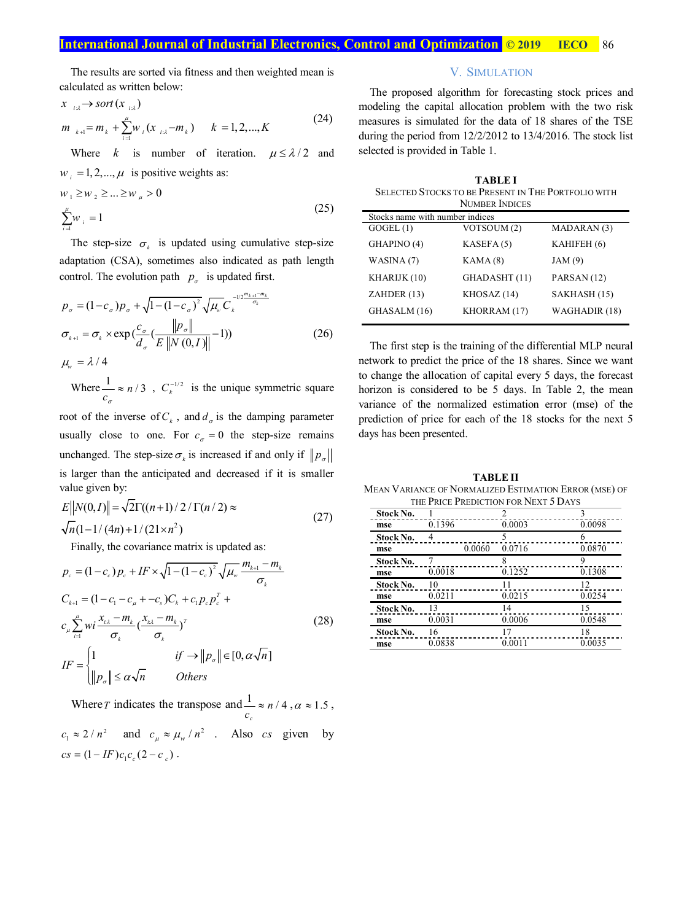The results are sorted via fitness and then weighted mean is calculated as written below:

$$
x_{i\lambda} \to sort(x_{i\lambda})
$$
  
\n
$$
m_{k+1} = m_k + \sum_{i=1}^{\mu} w_i (x_{i\lambda} - m_k) \qquad k = 1, 2, ..., K
$$
\n(24)

Where *k* is number of iteration.  $\mu \le \lambda/2$  and  $w_i = 1, 2, \dots, \mu$  is positive weights as:

$$
w_1 \ge w_2 \ge ... \ge w_\mu > 0
$$
  

$$
\sum_{i=1}^{\mu} w_i = 1
$$
 (25)

The step-size  $\sigma_k$  is updated using cumulative step-size adaptation (CSA), sometimes also indicated as path length control. The evolution path  $p_{\sigma}$  is updated first.

$$
p_{\sigma} = (1 - c_{\sigma})p_{\sigma} + \sqrt{1 - (1 - c_{\sigma})^2} \sqrt{\mu_{w}} C_{k}^{-1/2 \frac{m_{k+1} - m_{k}}{\sigma_{k}}}
$$
  
\n
$$
\sigma_{k+1} = \sigma_{k} \times \exp\left(\frac{c_{\sigma}}{d_{\sigma}} \left(\frac{\|p_{\sigma}\|}{E\|N(0, I)\|} - 1\right)\right)
$$
  
\n
$$
\mu_{w} = \lambda / 4
$$
\n(26)

Where  $\frac{1}{c_{\sigma}} \approx n/3$  $\approx n/3$ ,  $C_k^{-1/2}$  is the unique symmetric square

root of the inverse of  $C_k$ , and  $d_{\sigma}$  is the damping parameter usually close to one. For  $c_{\sigma} = 0$  the step-size remains unchanged. The step-size  $\sigma_k$  is increased if and only if  $\|p_{\sigma}\|$ is larger than the anticipated and decreased if it is smaller value given by:

$$
E\|N(0,I)\| = \sqrt{2}\Gamma((n+1)/2/\Gamma(n/2)) \approx
$$
  

$$
\sqrt{n}(1-1/(4n)+1/(21\times n^2))
$$
 (27)

Finally, the covariance matrix is updated as:

$$
p_c = (1 - c_c) p_c + I F \times \sqrt{1 - (1 - c_c)^2} \sqrt{\mu_w} \frac{m_{k+1} - m_k}{\sigma_k}
$$
  
\n
$$
C_{k+1} = (1 - c_1 - c_\mu + -c_s) C_k + c_1 p_c p_c^T + c_\mu
$$
  
\n
$$
c_\mu \sum_{i=1}^\mu wi \frac{x_{k\lambda} - m_k}{\sigma_k} (\frac{x_{k\lambda} - m_k}{\sigma_k})^T
$$
  
\n
$$
IF = \begin{cases} 1 & \text{if } \rightarrow ||p_\sigma|| \in [0, \alpha \sqrt{n}] \\ ||p_\sigma|| \le \alpha \sqrt{n} & \text{Others} \end{cases}
$$
\n(28)

Where *T* indicates the transpose and  $\frac{1}{n} \approx n/4$ *c*  $\frac{1}{c_c} \approx n/4$ ,  $\alpha \approx 1.5$ ,  $c_1 \approx 2/n^2$  and  $c_\mu \approx \mu_w/n^2$ . Also *cs* given by  $cs = (1 - IF)c_1c_c(2 - c_c)$ .

# V. SIMULATION

The proposed algorithm for forecasting stock prices and modeling the capital allocation problem with the two risk measures is simulated for the data of 18 shares of the TSE during the period from 12/2/2012 to 13/4/2016. The stock list selected is provided in Table 1.

| <b>TABLEI</b><br><b>SELECTED STOCKS TO BE PRESENT IN THE PORTFOLIO WITH</b> |                       |               |  |  |
|-----------------------------------------------------------------------------|-----------------------|---------------|--|--|
|                                                                             | <b>NUMBER INDICES</b> |               |  |  |
| Stocks name with number indices                                             |                       |               |  |  |
| GOGEL(1)                                                                    | VOTSOUM (2)           | MADARAN (3)   |  |  |
| GHAPINO (4)                                                                 | KASEFA(5)             | KAHIFEH (6)   |  |  |
| WASINA(7)                                                                   | KAMA(8)               | JAM(9)        |  |  |
| KHARIJK (10)                                                                | GHADASHT (11)         | PARSAN (12)   |  |  |
| ZAHDER (13)                                                                 | KHOSAZ (14)           | SAKHASH (15)  |  |  |
| GHASALM (16)                                                                | KHORRAM (17)          | WAGHADIR (18) |  |  |

The first step is the training of the differential MLP neural network to predict the price of the 18 shares. Since we want to change the allocation of capital every 5 days, the forecast horizon is considered to be 5 days. In Table 2, the mean variance of the normalized estimation error (mse) of the prediction of price for each of the 18 stocks for the next 5 days has been presented.

**TABLE II**  MEAN VARIANCE OF NORMALIZED ESTIMATION ERROR (MSE) OF THE PRICE PREDICTION FOR NEXT 5 DAYS

| Stock No. |        |        | 2      |        |
|-----------|--------|--------|--------|--------|
| mse       | 0.1396 |        | 0.0003 | 0.0098 |
| Stock No. |        |        |        |        |
| mse       |        | 0.0060 | 0.0716 | 0.0870 |
| Stock No. |        |        | 8      | 9      |
| mse       | 0.0018 |        | 0.1252 | 0.1308 |
| Stock No. | 10     |        |        | 12     |
| mse       | 0.0211 |        | 0.0215 | 0.0254 |
| Stock No. | 13     |        | 14     | 15     |
| mse       | 0.0031 |        | 0.0006 | 0.0548 |
| Stock No. | 16     |        | 17     | 18     |
| mse       | 0.0838 |        | 0.0011 | 0.0035 |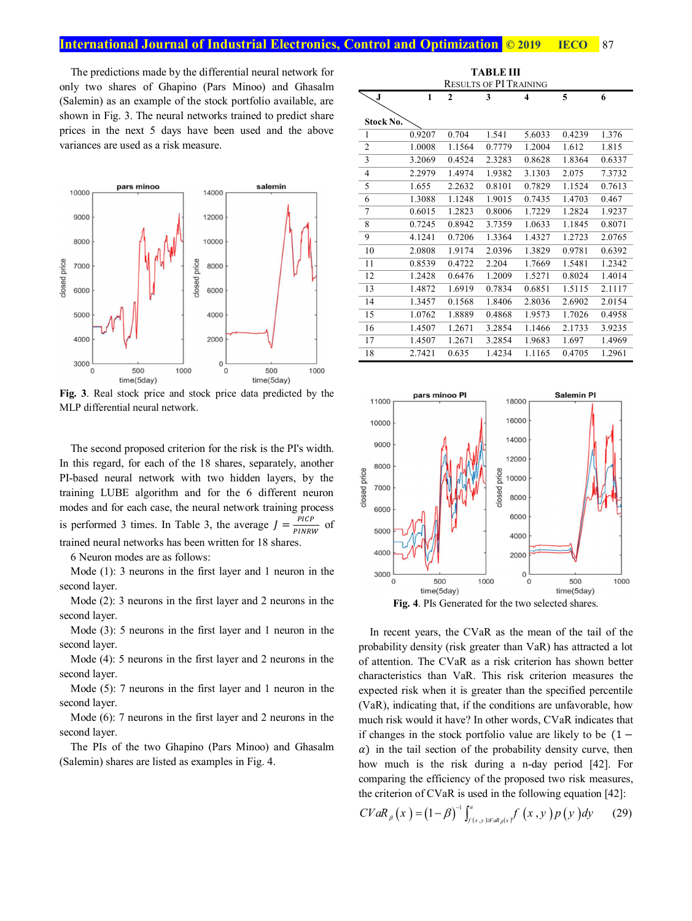The predictions made by the differential neural network for only two shares of Ghapino (Pars Minoo) and Ghasalm (Salemin) as an example of the stock portfolio available, are shown in Fig. 3. The neural networks trained to predict share prices in the next 5 days have been used and the above variances are used as a risk measure.



**Fig. 3**. Real stock price and stock price data predicted by the MLP differential neural network.

The second proposed criterion for the risk is the PI's width. In this regard, for each of the 18 shares, separately, another PI-based neural network with two hidden layers, by the training LUBE algorithm and for the 6 different neuron modes and for each case, the neural network training process is performed 3 times. In Table 3, the average  $J = \frac{PICP}{PINRW}$  of trained neural networks has been written for 18 shares.

6 Neuron modes are as follows:

Mode (1): 3 neurons in the first layer and 1 neuron in the second layer.

Mode (2): 3 neurons in the first layer and 2 neurons in the second layer.

Mode (3): 5 neurons in the first layer and 1 neuron in the second layer.

Mode (4): 5 neurons in the first layer and 2 neurons in the second layer.

Mode (5): 7 neurons in the first layer and 1 neuron in the second layer.

Mode (6): 7 neurons in the first layer and 2 neurons in the second layer.

The PIs of the two Ghapino (Pars Minoo) and Ghasalm (Salemin) shares are listed as examples in Fig. 4.

| TABLE III      |                               |              |        |        |        |        |
|----------------|-------------------------------|--------------|--------|--------|--------|--------|
|                | <b>RESULTS OF PI TRAINING</b> |              |        |        |        |        |
| J              | 1                             | $\mathbf{2}$ | 3      | 4      | 5      | 6      |
|                |                               |              |        |        |        |        |
| Stock No.      |                               |              |        |        |        |        |
| $\mathbf{1}$   | 0.9207                        | 0.704        | 1.541  | 5.6033 | 0.4239 | 1.376  |
| $\overline{2}$ | 1.0008                        | 1.1564       | 0.7779 | 1.2004 | 1.612  | 1.815  |
| 3              | 3.2069                        | 0.4524       | 2.3283 | 0.8628 | 1.8364 | 0.6337 |
| 4              | 2.2979                        | 1.4974       | 1.9382 | 3.1303 | 2.075  | 7.3732 |
| 5              | 1.655                         | 2.2632       | 0.8101 | 0.7829 | 1.1524 | 0.7613 |
| 6              | 1.3088                        | 1.1248       | 1.9015 | 0.7435 | 1.4703 | 0.467  |
| 7              | 0.6015                        | 1.2823       | 0.8006 | 1.7229 | 1.2824 | 1.9237 |
| 8              | 0.7245                        | 0.8942       | 3.7359 | 1.0633 | 1.1845 | 0.8071 |
| 9              | 4.1241                        | 0.7206       | 1.3364 | 1.4327 | 1.2723 | 2.0765 |
| 10             | 2.0808                        | 1.9174       | 2.0396 | 1.3829 | 0.9781 | 0.6392 |
| 11             | 0.8539                        | 0.4722       | 2.204  | 1.7669 | 1.5481 | 1.2342 |
| 12             | 1.2428                        | 0.6476       | 1.2009 | 1.5271 | 0.8024 | 1.4014 |
| 13             | 1.4872                        | 1.6919       | 0.7834 | 0.6851 | 1.5115 | 2.1117 |
| 14             | 1.3457                        | 0.1568       | 1.8406 | 2.8036 | 2.6902 | 2.0154 |
| 15             | 1.0762                        | 1.8889       | 0.4868 | 1.9573 | 1.7026 | 0.4958 |
| 16             | 1.4507                        | 1.2671       | 3.2854 | 1.1466 | 2.1733 | 3.9235 |
| 17             | 1.4507                        | 1.2671       | 3.2854 | 1.9683 | 1.697  | 1.4969 |
| 18             | 2.7421                        | 0.635        | 1.4234 | 1.1165 | 0.4705 | 1.2961 |



**Fig. 4**. PIs Generated for the two selected shares.

In recent years, the CVaR as the mean of the tail of the probability density (risk greater than VaR) has attracted a lot of attention. The CVaR as a risk criterion has shown better characteristics than VaR. This risk criterion measures the expected risk when it is greater than the specified percentile (VaR), indicating that, if the conditions are unfavorable, how much risk would it have? In other words, CVaR indicates that if changes in the stock portfolio value are likely to be  $(1 \alpha$ ) in the tail section of the probability density curve, then how much is the risk during a n-day period [42]. For comparing the efficiency of the proposed two risk measures, the criterion of CVaR is used in the following equation [42]:

$$
CVaR_{\beta}(x) = (1-\beta)^{-1} \int_{f(x,y)\beta^x aR_{\beta}(x)}^a f(x,y) p(y) dy \qquad (29)
$$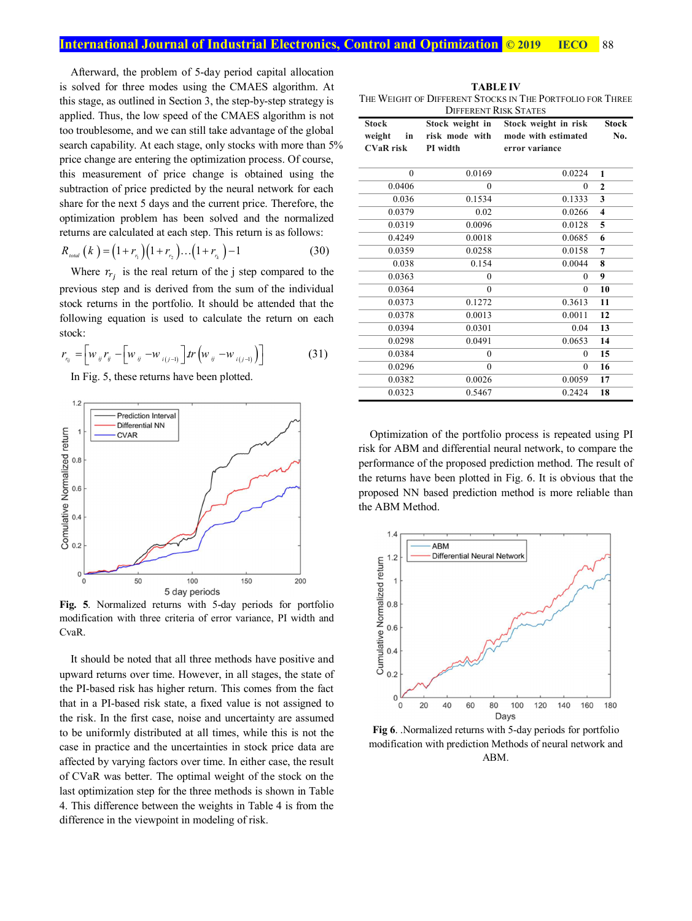Afterward, the problem of 5-day period capital allocation is solved for three modes using the CMAES algorithm. At this stage, as outlined in Section 3, the step-by-step strategy is applied. Thus, the low speed of the CMAES algorithm is not too troublesome, and we can still take advantage of the global search capability. At each stage, only stocks with more than 5% price change are entering the optimization process. Of course, this measurement of price change is obtained using the subtraction of price predicted by the neural network for each share for the next 5 days and the current price. Therefore, the optimization problem has been solved and the normalized returns are calculated at each step. This return is as follows:

$$
R_{\text{total}}(k) = (1 + r_{r_1})(1 + r_{r_2}) \dots (1 + r_{r_k}) - 1 \tag{30}
$$

Where  $r_{r_j}$  is the real return of the j step compared to the previous step and is derived from the sum of the individual stock returns in the portfolio. It should be attended that the following equation is used to calculate the return on each stock:

$$
r_{n_j} = \left[ w_{ij} r_j - \left[ w_{ij} - w_{i(j-1)} \right] tr \left( w_{ij} - w_{i(j-1)} \right) \right]
$$
 (31)

In Fig. 5, these returns have been plotted.



**Fig. 5**. Normalized returns with 5-day periods for portfolio modification with three criteria of error variance, PI width and CvaR.

It should be noted that all three methods have positive and upward returns over time. However, in all stages, the state of the PI-based risk has higher return. This comes from the fact that in a PI-based risk state, a fixed value is not assigned to the risk. In the first case, noise and uncertainty are assumed to be uniformly distributed at all times, while this is not the case in practice and the uncertainties in stock price data are affected by varying factors over time. In either case, the result of CVaR was better. The optimal weight of the stock on the last optimization step for the three methods is shown in Table 4. This difference between the weights in Table 4 is from the difference in the viewpoint in modeling of risk.

**TABLE IV**  THE WEIGHT OF DIFFERENT STOCKS IN THE PORTFOLIO FOR THREE  $D$ rennen m $D$ ro $\nu$  $S_{\text{m}}$ 

|                  | DIFFERENT INDIVOTATES |                      |                         |
|------------------|-----------------------|----------------------|-------------------------|
| <b>Stock</b>     | Stock weight in       | Stock weight in risk | <b>Stock</b>            |
| weight<br>in     | risk mode with        | mode with estimated  | No.                     |
| <b>CVaR</b> risk | PI width              | error variance       |                         |
|                  |                       |                      |                         |
|                  |                       |                      |                         |
| $\mathbf{0}$     | 0.0169                | 0.0224               | 1                       |
| 0.0406           | $\theta$              | $\theta$             | $\overline{2}$          |
| 0.036            | 0.1534                | 0.1333               | 3                       |
| 0.0379           | 0.02                  | 0.0266               | $\overline{\mathbf{4}}$ |
| 0.0319           | 0.0096                | 0.0128               | 5                       |
| 0.4249           | 0.0018                | 0.0685               | 6                       |
| 0.0359           | 0.0258                | 0.0158               | $\overline{7}$          |
| 0.038            | 0.154                 | 0.0044               | 8                       |
| 0.0363           | $\theta$              | $\theta$             | 9                       |
| 0.0364           | $\theta$              | $\theta$             | 10                      |
| 0.0373           | 0.1272                | 0.3613               | 11                      |
| 0.0378           | 0.0013                | 0.0011               | 12                      |
| 0.0394           | 0.0301                | 0.04                 | 13                      |
| 0.0298           | 0.0491                | 0.0653               | 14                      |
| 0.0384           | $\theta$              | $\boldsymbol{0}$     | 15                      |
| 0.0296           | $\theta$              | $\overline{0}$       | 16                      |
| 0.0382           | 0.0026                | 0.0059               | 17                      |
| 0.0323           | 0.5467                | 0.2424               | 18                      |

Optimization of the portfolio process is repeated using PI risk for ABM and differential neural network, to compare the performance of the proposed prediction method. The result of the returns have been plotted in Fig. 6. It is obvious that the proposed NN based prediction method is more reliable than the ABM Method.



**Fig 6**. .Normalized returns with 5-day periods for portfolio modification with prediction Methods of neural network and ABM.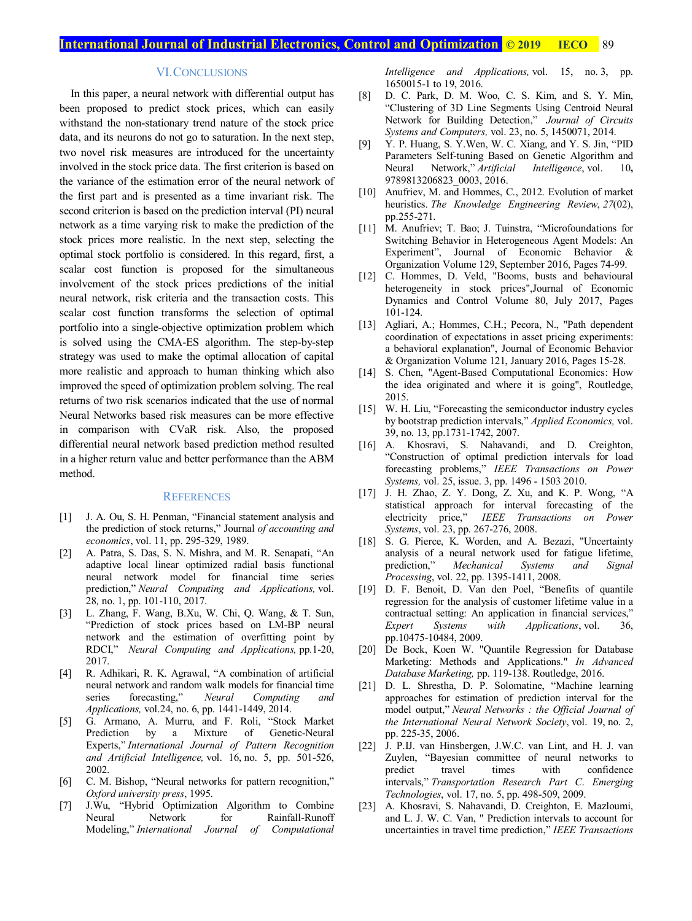# VI.CONCLUSIONS

In this paper, a neural network with differential output has been proposed to predict stock prices, which can easily withstand the non-stationary trend nature of the stock price data, and its neurons do not go to saturation. In the next step, two novel risk measures are introduced for the uncertainty involved in the stock price data. The first criterion is based on the variance of the estimation error of the neural network of the first part and is presented as a time invariant risk. The second criterion is based on the prediction interval (PI) neural network as a time varying risk to make the prediction of the stock prices more realistic. In the next step, selecting the optimal stock portfolio is considered. In this regard, first, a scalar cost function is proposed for the simultaneous involvement of the stock prices predictions of the initial neural network, risk criteria and the transaction costs. This scalar cost function transforms the selection of optimal portfolio into a single-objective optimization problem which is solved using the CMA-ES algorithm. The step-by-step strategy was used to make the optimal allocation of capital more realistic and approach to human thinking which also improved the speed of optimization problem solving. The real returns of two risk scenarios indicated that the use of normal Neural Networks based risk measures can be more effective in comparison with CVaR risk. Also, the proposed differential neural network based prediction method resulted in a higher return value and better performance than the ABM method.

### **REFERENCES**

- [1] J. A. Ou, S. H. Penman, "Financial statement analysis and the prediction of stock returns," Journal *of accounting and economics*, vol. 11, pp. 295-329, 1989.
- [2] A. Patra, S. Das, S. N. Mishra, and M. R. Senapati, "An adaptive local linear optimized radial basis functional neural network model for financial time series prediction," *Neural Computing and Applications,* vol. 28*,* no. 1, pp. 101-110, 2017.
- [3] L. Zhang, F. Wang, B.Xu, W. Chi, Q. Wang, & T. Sun, "Prediction of stock prices based on LM-BP neural network and the estimation of overfitting point by RDCI," *Neural Computing and Applications,* pp*.*1-20, 2017.
- [4] R. Adhikari, R. K. Agrawal, "A combination of artificial neural network and random walk models for financial time series forecasting," *Neural Computing and Applications,* vol.24, no. 6, pp. 1441-1449, 2014.
- [5] G. Armano, A. Murru, and F. Roli, "Stock Market Prediction by a Mixture of Genetic-Neural Experts," *International Journal of Pattern Recognition and Artificial Intelligence,* vol. 16, no. 5, pp. 501-526, 2002.
- [6] C. M. Bishop, "Neural networks for pattern recognition," *Oxford university press*, 1995.
- [7] J.Wu, "Hybrid Optimization Algorithm to Combine Neural Network for Rainfall-Runoff Modeling," *International Journal of Computational*

*Intelligence and Applications,* vol. 15, no. 3, pp. 1650015-1 to 19, 2016.

- [8] D. C. Park, D. M. Woo, C. S. Kim, and S. Y. Min, "Clustering of 3D Line Segments Using Centroid Neural Network for Building Detection," *Journal of Circuits Systems and Computers,* vol. 23, no. 5, 1450071, 2014.
- [9] Y. P. Huang, S. Y.Wen, W. C. Xiang, and Y. S. Jin, "PID Parameters Self-tuning Based on Genetic Algorithm and Neural Network," *Artificial Intelligence*, vol. 10**,**  9789813206823\_0003, 2016.
- [10] Anufriev, M. and Hommes, C., 2012. Evolution of market heuristics. *The Knowledge Engineering Review*, *27*(02), pp.255-271.
- [11] M. Anufriev; T. Bao; J. Tuinstra, "Microfoundations for Switching Behavior in Heterogeneous Agent Models: An Experiment", Journal of Economic Behavior & Organization Volume 129, September 2016, Pages 74-99.
- [12] C. Hommes, D. Veld, "Booms, busts and behavioural heterogeneity in stock prices",Journal of Economic Dynamics and Control Volume 80, July 2017, Pages 101-124.
- [13] Agliari, A.; Hommes, C.H.; Pecora, N., "Path dependent coordination of expectations in asset pricing experiments: a behavioral explanation", Journal of Economic Behavior & Organization Volume 121, January 2016, Pages 15-28.
- [14] S. Chen, "Agent-Based Computational Economics: How the idea originated and where it is going", Routledge, 2015.
- [15] W. H. Liu, "Forecasting the semiconductor industry cycles by bootstrap prediction intervals," *Applied Economics,* vol. 39, no. 13, pp.1731-1742, 2007.
- [16] A. Khosravi, S. Nahavandi, and D. Creighton, "Construction of optimal prediction intervals for load forecasting problems," *IEEE Transactions on Power Systems,* vol. 25, issue. 3, pp. 1496 - 1503 2010.
- [17] J. H. Zhao, Z. Y. Dong, Z. Xu, and K. P. Wong, "A statistical approach for interval forecasting of the electricity price," *IEEE Transactions on Power Systems*, vol. 23, pp. 267-276, 2008.
- [18] S. G. Pierce, K. Worden, and A. Bezazi, "Uncertainty analysis of a neural network used for fatigue lifetime, prediction," *Mechanical Systems and Signal Processing*, vol. 22, pp. 1395-1411, 2008.
- [19] D. F. Benoit, D. Van den Poel, "Benefits of quantile regression for the analysis of customer lifetime value in a contractual setting: An application in financial services," *Expert Systems with Applications*, vol. 36, pp.10475-10484, 2009.
- [20] De Bock, Koen W. "Quantile Regression for Database Marketing: Methods and Applications." *In Advanced Database Marketing,* pp. 119-138. Routledge, 2016.
- [21] D. L. Shrestha, D. P. Solomatine, "Machine learning approaches for estimation of prediction interval for the model output," *Neural Networks : the Official Journal of the International Neural Network Society*, vol. 19, no. 2, pp. 225-35, 2006.
- [22] J. P.IJ. van Hinsbergen, J.W.C. van Lint, and H. J. van Zuylen, "Bayesian committee of neural networks to predict travel times with confidence intervals," *Transportation Research Part C*. *Emerging Technologies*, vol. 17, no. 5, pp. 498-509, 2009.
- [23] A. Khosravi, S. Nahavandi, D. Creighton, E. Mazloumi, and L. J. W. C. Van, " Prediction intervals to account for uncertainties in travel time prediction," *IEEE Transactions*